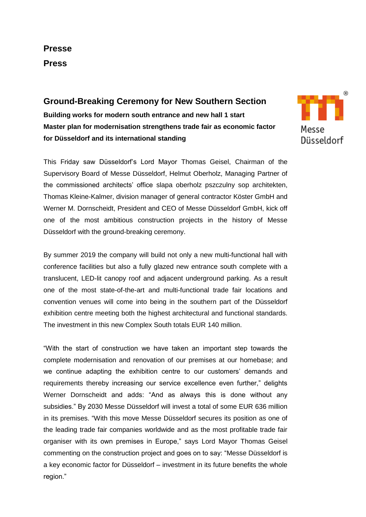# **Presse Press**

## **Ground-Breaking Ceremony for New Southern Section**

**Building works for modern south entrance and new hall 1 start Master plan for modernisation strengthens trade fair as economic factor for Düsseldorf and its international standing**

This Friday saw Düsseldorf's Lord Mayor Thomas Geisel, Chairman of the Supervisory Board of Messe Düsseldorf, Helmut Oberholz, Managing Partner of the commissioned architects' office slapa oberholz pszczulny sop architekten, Thomas Kleine-Kalmer, division manager of general contractor Köster GmbH and Werner M. Dornscheidt, President and CEO of Messe Düsseldorf GmbH, kick off one of the most ambitious construction projects in the history of Messe Düsseldorf with the ground-breaking ceremony.

By summer 2019 the company will build not only a new multi-functional hall with conference facilities but also a fully glazed new entrance south complete with a translucent, LED-lit canopy roof and adjacent underground parking. As a result one of the most state-of-the-art and multi-functional trade fair locations and convention venues will come into being in the southern part of the Düsseldorf exhibition centre meeting both the highest architectural and functional standards. The investment in this new Complex South totals EUR 140 million.

"With the start of construction we have taken an important step towards the complete modernisation and renovation of our premises at our homebase; and we continue adapting the exhibition centre to our customers' demands and requirements thereby increasing our service excellence even further," delights Werner Dornscheidt and adds: "And as always this is done without any subsidies." By 2030 Messe Düsseldorf will invest a total of some EUR 636 million in its premises. "With this move Messe Düsseldorf secures its position as one of the leading trade fair companies worldwide and as the most profitable trade fair organiser with its own premises in Europe," says Lord Mayor Thomas Geisel commenting on the construction project and goes on to say: "Messe Düsseldorf is a key economic factor for Düsseldorf – investment in its future benefits the whole region."

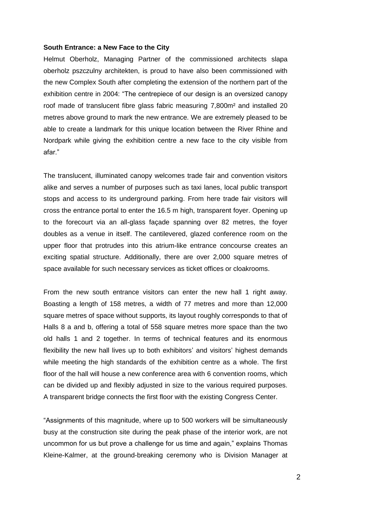## **South Entrance: a New Face to the City**

Helmut Oberholz, Managing Partner of the commissioned architects slapa oberholz pszczulny architekten, is proud to have also been commissioned with the new Complex South after completing the extension of the northern part of the exhibition centre in 2004: "The centrepiece of our design is an oversized canopy roof made of translucent fibre glass fabric measuring 7,800m² and installed 20 metres above ground to mark the new entrance. We are extremely pleased to be able to create a landmark for this unique location between the River Rhine and Nordpark while giving the exhibition centre a new face to the city visible from afar."

The translucent, illuminated canopy welcomes trade fair and convention visitors alike and serves a number of purposes such as taxi lanes, local public transport stops and access to its underground parking. From here trade fair visitors will cross the entrance portal to enter the 16.5 m high, transparent foyer. Opening up to the forecourt via an all-glass façade spanning over 82 metres, the foyer doubles as a venue in itself. The cantilevered, glazed conference room on the upper floor that protrudes into this atrium-like entrance concourse creates an exciting spatial structure. Additionally, there are over 2,000 square metres of space available for such necessary services as ticket offices or cloakrooms.

From the new south entrance visitors can enter the new hall 1 right away. Boasting a length of 158 metres, a width of 77 metres and more than 12,000 square metres of space without supports, its layout roughly corresponds to that of Halls 8 a and b, offering a total of 558 square metres more space than the two old halls 1 and 2 together. In terms of technical features and its enormous flexibility the new hall lives up to both exhibitors' and visitors' highest demands while meeting the high standards of the exhibition centre as a whole. The first floor of the hall will house a new conference area with 6 convention rooms, which can be divided up and flexibly adjusted in size to the various required purposes. A transparent bridge connects the first floor with the existing Congress Center.

"Assignments of this magnitude, where up to 500 workers will be simultaneously busy at the construction site during the peak phase of the interior work, are not uncommon for us but prove a challenge for us time and again," explains Thomas Kleine-Kalmer, at the ground-breaking ceremony who is Division Manager at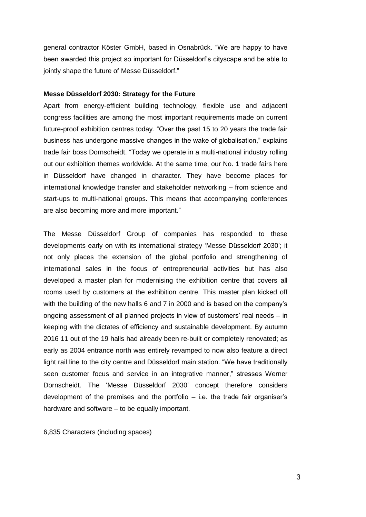general contractor Köster GmbH, based in Osnabrück. "We are happy to have been awarded this project so important for Düsseldorf's cityscape and be able to jointly shape the future of Messe Düsseldorf."

## **Messe Düsseldorf 2030: Strategy for the Future**

Apart from energy-efficient building technology, flexible use and adjacent congress facilities are among the most important requirements made on current future-proof exhibition centres today. "Over the past 15 to 20 years the trade fair business has undergone massive changes in the wake of globalisation," explains trade fair boss Dornscheidt. "Today we operate in a multi-national industry rolling out our exhibition themes worldwide. At the same time, our No. 1 trade fairs here in Düsseldorf have changed in character. They have become places for international knowledge transfer and stakeholder networking – from science and start-ups to multi-national groups. This means that accompanying conferences are also becoming more and more important."

The Messe Düsseldorf Group of companies has responded to these developments early on with its international strategy 'Messe Düsseldorf 2030'; it not only places the extension of the global portfolio and strengthening of international sales in the focus of entrepreneurial activities but has also developed a master plan for modernising the exhibition centre that covers all rooms used by customers at the exhibition centre. This master plan kicked off with the building of the new halls 6 and 7 in 2000 and is based on the company's ongoing assessment of all planned projects in view of customers' real needs – in keeping with the dictates of efficiency and sustainable development. By autumn 2016 11 out of the 19 halls had already been re-built or completely renovated; as early as 2004 entrance north was entirely revamped to now also feature a direct light rail line to the city centre and Düsseldorf main station. "We have traditionally seen customer focus and service in an integrative manner," stresses Werner Dornscheidt. The 'Messe Düsseldorf 2030' concept therefore considers development of the premises and the portfolio  $-$  i.e. the trade fair organiser's hardware and software – to be equally important.

6,835 Characters (including spaces)